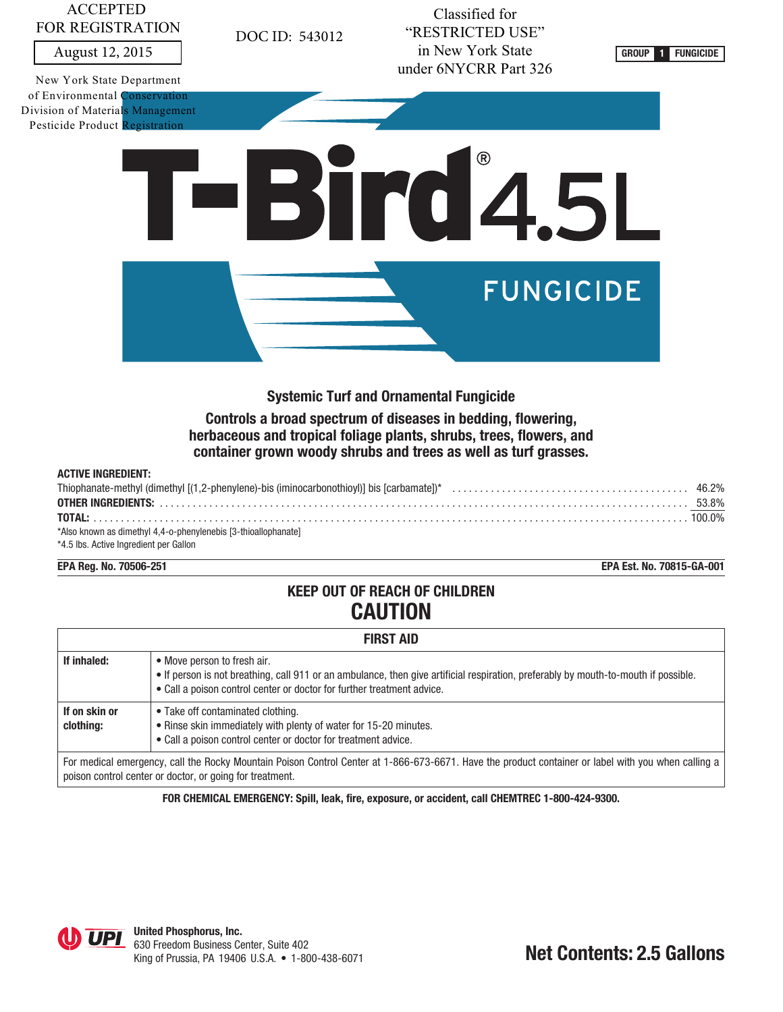## ACCEPTED FOR REGISTRATION

New York State Department of Environmental Conservation Division of Materials Management Pesticide Product Registration

August 12, 2015 **FUNGICIDE CONSIDER ALCOHOLOGICAL CONSTRUCT <b>CONSIDER 1 CONSIDER CONSIDER 1 FUNGICIDE** Classified for "RESTRICTED USE" in New York State under 6NYCRR Part 326





DOC ID: 543012

**Systemic Turf and Ornamental Fungicide**

**Controls a broad spectrum of diseases in bedding, flowering, herbaceous and tropical foliage plants, shrubs, trees, flowers, and container grown woody shrubs and trees as well as turf grasses.**

#### **ACTIVE INGREDIENT:**

| *Also known as dimethyl 4,4-o-phenylenebis [3-thioallophanate] |  |
|----------------------------------------------------------------|--|
| *4.5 lbs. Active Ingredient per Gallon                         |  |

**EPA Reg. No. 70506-251 EPA Est. No. 70815-GA-001**

# **KEEP OUT OF REACH OF CHILDREN CAUTION**

| <b>FIRST AID</b>           |                                                                                                                                                                                                                                              |  |
|----------------------------|----------------------------------------------------------------------------------------------------------------------------------------------------------------------------------------------------------------------------------------------|--|
| If inhaled:                | • Move person to fresh air.<br>. If person is not breathing, call 911 or an ambulance, then give artificial respiration, preferably by mouth-to-mouth if possible.<br>• Call a poison control center or doctor for further treatment advice. |  |
| If on skin or<br>clothing: | • Take off contaminated clothing.<br>• Rinse skin immediately with plenty of water for 15-20 minutes.<br>• Call a poison control center or doctor for treatment advice.                                                                      |  |
|                            | For medical emergency, call the Rocky Mountain Poison Control Center at 1-866-673-6671. Have the product container or label with you when calling a<br>poison control center or doctor, or going for treatment.                              |  |

**FOR CHEMICAL EMERGENCY: Spill, leak, fire, exposure, or accident, call CHEMTREC 1-800-424-9300.**

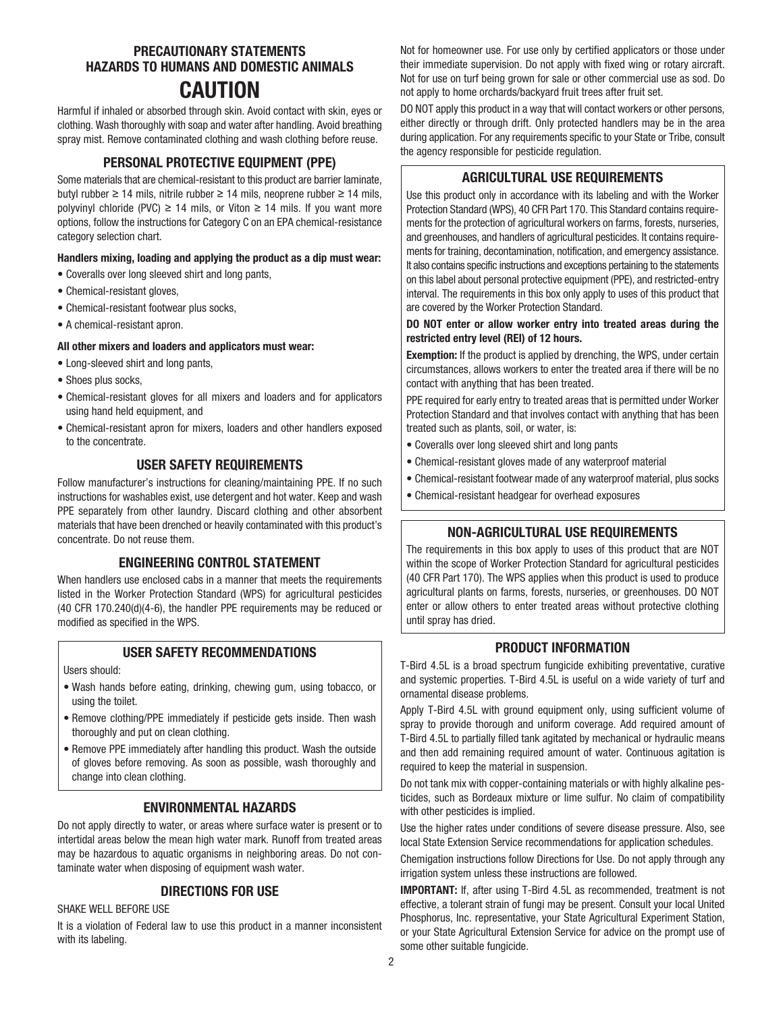## **PRECAUTIONARY STATEMENTS HAZARDS TO HUMANS AND DOMESTIC ANIMALS CAUTION**

Harmful if inhaled or absorbed through skin. Avoid contact with skin, eyes or clothing. Wash thoroughly with soap and water after handling. Avoid breathing spray mist. Remove contaminated clothing and wash clothing before reuse.

## **PERSONAL PROTECTIVE EQUIPMENT (PPE)**

Some materials that are chemical-resistant to this product are barrier laminate, butyl rubber ≥ 14 mils, nitrile rubber ≥ 14 mils, neoprene rubber ≥ 14 mils, polyvinyl chloride (PVC) ≥ 14 mils, or Viton ≥ 14 mils. If you want more options, follow the instructions for Category C on an EPA chemical-resistance category selection chart.

#### **Handlers mixing, loading and applying the product as a dip must wear:**

- Coveralls over long sleeved shirt and long pants,
- Chemical-resistant gloves,
- Chemical-resistant footwear plus socks,
- A chemical-resistant apron.

#### **All other mixers and loaders and applicators must wear:**

- Long-sleeved shirt and long pants,
- Shoes plus socks,
- Chemical-resistant gloves for all mixers and loaders and for applicators using hand held equipment, and
- Chemical-resistant apron for mixers, loaders and other handlers exposed to the concentrate.

## **USER SAFETY REQUIREMENTS**

Follow manufacturer's instructions for cleaning/maintaining PPE. If no such instructions for washables exist, use detergent and hot water. Keep and wash PPE separately from other laundry. Discard clothing and other absorbent materials that have been drenched or heavily contaminated with this product's concentrate. Do not reuse them.

## **ENGINEERING CONTROL STATEMENT**

When handlers use enclosed cabs in a manner that meets the requirements listed in the Worker Protection Standard (WPS) for agricultural pesticides (40 CFR 170.240(d)(4-6), the handler PPE requirements may be reduced or modified as specified in the WPS.

## **USER SAFETY RECOMMENDATIONS**

Users should:

- Wash hands before eating, drinking, chewing gum, using tobacco, or using the toilet.
- Remove clothing/PPE immediately if pesticide gets inside. Then wash thoroughly and put on clean clothing.
- Remove PPE immediately after handling this product. Wash the outside of gloves before removing. As soon as possible, wash thoroughly and change into clean clothing.

## **ENVIRONMENTAL HAZARDS**

Do not apply directly to water, or areas where surface water is present or to intertidal areas below the mean high water mark. Runoff from treated areas may be hazardous to aquatic organisms in neighboring areas. Do not contaminate water when disposing of equipment wash water.

## **DIRECTIONS FOR USE**

SHAKE WELL BEFORE USE

It is a violation of Federal law to use this product in a manner inconsistent with its labeling.

Not for homeowner use. For use only by certified applicators or those under their immediate supervision. Do not apply with fixed wing or rotary aircraft. Not for use on turf being grown for sale or other commercial use as sod. Do not apply to home orchards/backyard fruit trees after fruit set.

DO NOT apply this product in a way that will contact workers or other persons, either directly or through drift. Only protected handlers may be in the area during application. For any requirements specific to your State or Tribe, consult the agency responsible for pesticide regulation.

## **AGRICULTURAL USE REQUIREMENTS**

Use this product only in accordance with its labeling and with the Worker Protection Standard (WPS), 40 CFR Part 170. This Standard contains requirements for the protection of agricultural workers on farms, forests, nurseries, and greenhouses, and handlers of agricultural pesticides. It contains requirements for training, decontamination, notification, and emergency assistance. It also contains specific instructions and exceptions pertaining to the statements on this label about personal protective equipment (PPE), and restricted-entry interval. The requirements in this box only apply to uses of this product that are covered by the Worker Protection Standard.

#### **DO NOT enter or allow worker entry into treated areas during the restricted entry level (REI) of 12 hours.**

**Exemption:** If the product is applied by drenching, the WPS, under certain circumstances, allows workers to enter the treated area if there will be no contact with anything that has been treated.

PPE required for early entry to treated areas that is permitted under Worker Protection Standard and that involves contact with anything that has been treated such as plants, soil, or water, is:

- Coveralls over long sleeved shirt and long pants
- Chemical-resistant gloves made of any waterproof material
- Chemical-resistant footwear made of any waterproof material, plus socks
- Chemical-resistant headgear for overhead exposures

## **NON-AGRICULTURAL USE REQUIREMENTS**

The requirements in this box apply to uses of this product that are NOT within the scope of Worker Protection Standard for agricultural pesticides (40 CFR Part 170). The WPS applies when this product is used to produce agricultural plants on farms, forests, nurseries, or greenhouses. DO NOT enter or allow others to enter treated areas without protective clothing until spray has dried.

#### **PRODUCT INFORMATION**

T-Bird 4.5L is a broad spectrum fungicide exhibiting preventative, curative and systemic properties. T-Bird 4.5L is useful on a wide variety of turf and ornamental disease problems.

Apply T-Bird 4.5L with ground equipment only, using sufficient volume of spray to provide thorough and uniform coverage. Add required amount of T-Bird 4.5L to partially filled tank agitated by mechanical or hydraulic means and then add remaining required amount of water. Continuous agitation is required to keep the material in suspension.

Do not tank mix with copper-containing materials or with highly alkaline pesticides, such as Bordeaux mixture or lime sulfur. No claim of compatibility with other pesticides is implied.

Use the higher rates under conditions of severe disease pressure. Also, see local State Extension Service recommendations for application schedules.

Chemigation instructions follow Directions for Use. Do not apply through any irrigation system unless these instructions are followed.

**IMPORTANT:** If, after using T-Bird 4.5L as recommended, treatment is not effective, a tolerant strain of fungi may be present. Consult your local United Phosphorus, Inc. representative, your State Agricultural Experiment Station, or your State Agricultural Extension Service for advice on the prompt use of some other suitable fungicide.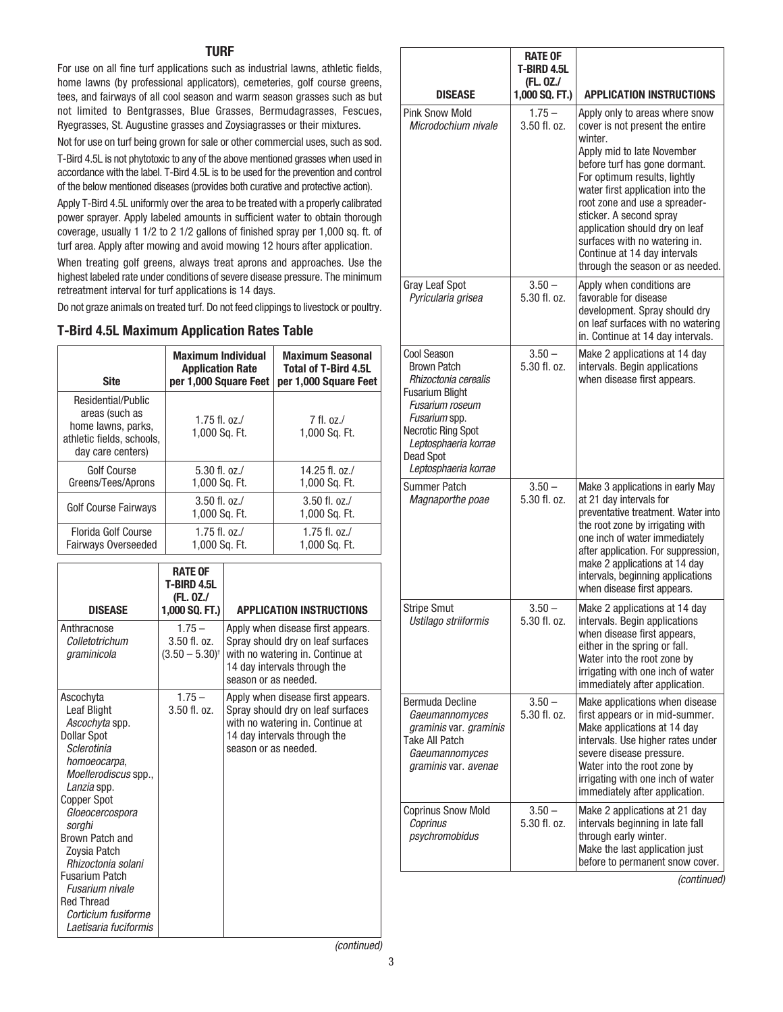#### **TURF**

For use on all fine turf applications such as industrial lawns, athletic fields, home lawns (by professional applicators), cemeteries, golf course greens, tees, and fairways of all cool season and warm season grasses such as but not limited to Bentgrasses, Blue Grasses, Bermudagrasses, Fescues, Ryegrasses, St. Augustine grasses and Zoysiagrasses or their mixtures.

Not for use on turf being grown for sale or other commercial uses, such as sod.

T-Bird 4.5L is not phytotoxic to any of the above mentioned grasses when used in accordance with the label. T-Bird 4.5L is to be used for the prevention and control of the below mentioned diseases (provides both curative and protective action).

Apply T-Bird 4.5L uniformly over the area to be treated with a properly calibrated power sprayer. Apply labeled amounts in sufficient water to obtain thorough coverage, usually 1 1/2 to 2 1/2 gallons of finished spray per 1,000 sq. ft. of turf area. Apply after mowing and avoid mowing 12 hours after application.

When treating golf greens, always treat aprons and approaches. Use the highest labeled rate under conditions of severe disease pressure. The minimum retreatment interval for turf applications is 14 days.

Do not graze animals on treated turf. Do not feed clippings to livestock or poultry.

#### **T-Bird 4.5L Maximum Application Rates Table**

| <b>Site</b>                                                                                                  | <b>Maximum Individual</b><br><b>Application Rate</b><br>per 1,000 Square Feet | <b>Maximum Seasonal</b><br><b>Total of T-Bird 4.5L</b><br>per 1,000 Square Feet |
|--------------------------------------------------------------------------------------------------------------|-------------------------------------------------------------------------------|---------------------------------------------------------------------------------|
| Residential/Public<br>areas (such as<br>home lawns, parks,<br>athletic fields, schools,<br>day care centers) | 1.75 fl. $oz./$<br>1,000 Sq. Ft.                                              | $7$ fl. oz./<br>1,000 Sq. Ft.                                                   |
| Golf Course<br>Greens/Tees/Aprons                                                                            | $5.30$ fl. oz./<br>1,000 Sq. Ft.                                              | 14.25 fl. $oz. /$<br>1,000 Sq. Ft.                                              |
| <b>Golf Course Fairways</b>                                                                                  | $3.50$ fl. oz./<br>1,000 Sq. Ft.                                              | $3.50$ fl. oz./<br>1,000 Sq. Ft.                                                |
| Florida Golf Course<br><b>Fairways Overseeded</b>                                                            | 1.75 fl. $oz./$<br>1,000 Sq. Ft.                                              | $1.75$ fl. oz./<br>1,000 Sq. Ft.                                                |

| <b>DISEASE</b>                                                                                                                                                                                                                                                                                                             | <b>RATE OF</b><br><b>T-BIRD 4.5L</b><br>(FL. 0Z./<br>1,000 SQ. FT.) | <b>APPLICATION INSTRUCTIONS</b>                                                                                                                                    |
|----------------------------------------------------------------------------------------------------------------------------------------------------------------------------------------------------------------------------------------------------------------------------------------------------------------------------|---------------------------------------------------------------------|--------------------------------------------------------------------------------------------------------------------------------------------------------------------|
| Anthracnose<br>Colletotrichum<br>graminicola                                                                                                                                                                                                                                                                               | $1.75 -$<br>$3.50$ fl. oz.<br>$(3.50 - 5.30)^{\dagger}$             | Apply when disease first appears.<br>Spray should dry on leaf surfaces<br>with no watering in. Continue at<br>14 day intervals through the<br>season or as needed. |
| Ascochyta<br><b>Leaf Blight</b><br>Ascochyta spp.<br><b>Dollar Spot</b><br>Sclerotinia<br>homoeocarpa,<br>Moellerodiscus spp.,<br>Lanzia spp.<br>Copper Spot<br>Gloeocercospora<br>sorghi<br><b>Brown Patch and</b><br>Zoysia Patch<br>Rhizoctonia solani<br><b>Fusarium Patch</b><br>Fusarium nivale<br><b>Red Thread</b> | $1.75 -$<br>$3.50$ fl. oz.                                          | Apply when disease first appears.<br>Spray should dry on leaf surfaces<br>with no watering in. Continue at<br>14 day intervals through the<br>season or as needed. |
| Corticium fusiforme<br>Laetisaria fuciformis                                                                                                                                                                                                                                                                               |                                                                     |                                                                                                                                                                    |

|                                                                                                                                                                                                                                        | <b>RATE OF</b><br><b>T-BIRD 4.5L</b><br>(FL. 0Z./ |                                                                                                                                                                                                                                                                                                                                                                                                                    |
|----------------------------------------------------------------------------------------------------------------------------------------------------------------------------------------------------------------------------------------|---------------------------------------------------|--------------------------------------------------------------------------------------------------------------------------------------------------------------------------------------------------------------------------------------------------------------------------------------------------------------------------------------------------------------------------------------------------------------------|
| <b>DISEASE</b>                                                                                                                                                                                                                         | 1,000 SQ. FT.)                                    | <b>APPLICATION INSTRUCTIONS</b>                                                                                                                                                                                                                                                                                                                                                                                    |
| <b>Pink Snow Mold</b><br>Microdochium nivale                                                                                                                                                                                           | $1.75 -$<br>3.50 fl. oz.                          | Apply only to areas where snow<br>cover is not present the entire<br>winter.<br>Apply mid to late November<br>before turf has gone dormant.<br>For optimum results, lightly<br>water first application into the<br>root zone and use a spreader-<br>sticker. A second spray<br>application should dry on leaf<br>surfaces with no watering in.<br>Continue at 14 day intervals<br>through the season or as needed. |
| <b>Gray Leaf Spot</b><br>Pyricularia grisea                                                                                                                                                                                            | $3.50 -$<br>5.30 fl. oz.                          | Apply when conditions are<br>favorable for disease<br>development. Spray should dry<br>on leaf surfaces with no watering<br>in. Continue at 14 day intervals.                                                                                                                                                                                                                                                      |
| <b>Cool Season</b><br><b>Brown Patch</b><br>Rhizoctonia cerealis<br><b>Fusarium Blight</b><br><b>Fusarium roseum</b><br>Fusarium spp.<br><b>Necrotic Ring Spot</b><br>Leptosphaeria korrae<br><b>Dead Spot</b><br>Leptosphaeria korrae | $3.50 -$<br>5.30 fl. oz.                          | Make 2 applications at 14 day<br>intervals. Begin applications<br>when disease first appears.                                                                                                                                                                                                                                                                                                                      |
| <b>Summer Patch</b><br>Magnaporthe poae                                                                                                                                                                                                | $3.50 -$<br>5.30 fl. oz.                          | Make 3 applications in early May<br>at 21 day intervals for<br>preventative treatment. Water into<br>the root zone by irrigating with<br>one inch of water immediately<br>after application. For suppression,<br>make 2 applications at 14 day<br>intervals, beginning applications<br>when disease first appears.                                                                                                 |
| <b>Stripe Smut</b><br>Ustilago striiformis                                                                                                                                                                                             | $3.50 -$<br>5.30 fl. oz.                          | Make 2 applications at 14 day<br>intervals. Begin applications<br>when disease first appears,<br>either in the spring or fall.<br>Water into the root zone by<br>irrigating with one inch of water<br>immediately after application.                                                                                                                                                                               |
| Bermuda Decline<br>Gaeumannomyces<br>graminis var. graminis<br><b>Take All Patch</b><br>Gaeumannomyces<br>graminis var. avenae                                                                                                         | $3.50 -$<br>5.30 fl. oz.                          | Make applications when disease<br>first appears or in mid-summer.<br>Make applications at 14 day<br>intervals. Use higher rates under<br>severe disease pressure.<br>Water into the root zone by<br>irrigating with one inch of water<br>immediately after application.                                                                                                                                            |
| <b>Coprinus Snow Mold</b><br>Coprinus<br>psychromobidus                                                                                                                                                                                | $3.50 -$<br>5.30 fl. oz.                          | Make 2 applications at 21 day<br>intervals beginning in late fall<br>through early winter.<br>Make the last application just<br>before to permanent snow cover.<br>(continued)                                                                                                                                                                                                                                     |

(continued)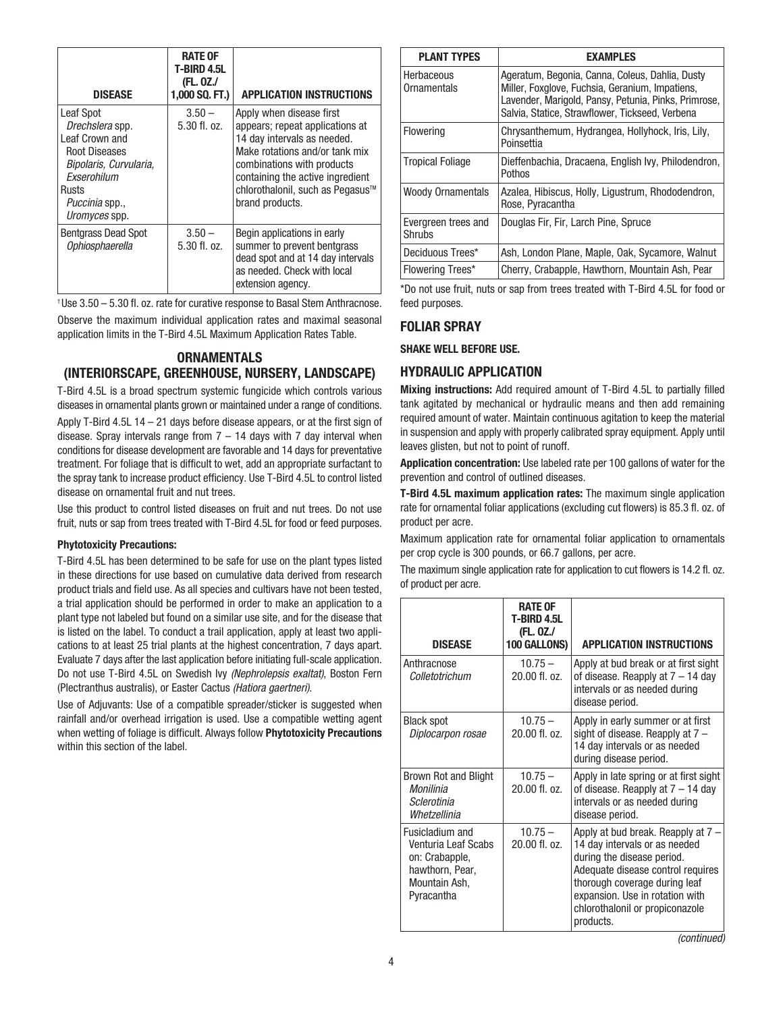| <b>DISEASE</b>                                                                                                                                                     | <b>RATE OF</b><br>T-BIRD 4.5L<br>(FL. 0Z./<br>1,000 SQ. FT.) | <b>APPLICATION INSTRUCTIONS</b>                                                                                                                                                                                                                       |
|--------------------------------------------------------------------------------------------------------------------------------------------------------------------|--------------------------------------------------------------|-------------------------------------------------------------------------------------------------------------------------------------------------------------------------------------------------------------------------------------------------------|
| Leaf Spot<br>Drechslera spp.<br>Leaf Crown and<br><b>Root Diseases</b><br>Bipolaris, Curvularia,<br>Exserohilum<br>Rusts<br><i>Puccinia</i> spp.,<br>Uromyces spp. | $3.50 -$<br>$5.30$ fl. oz.                                   | Apply when disease first<br>appears; repeat applications at<br>14 day intervals as needed.<br>Make rotations and/or tank mix<br>combinations with products<br>containing the active ingredient<br>chlorothalonil, such as Pegasus™<br>brand products. |
| <b>Bentgrass Dead Spot</b><br>Ophiosphaerella                                                                                                                      | $3.50 -$<br>5.30 fl. oz.                                     | Begin applications in early<br>summer to prevent bentgrass<br>dead spot and at 14 day intervals<br>as needed. Check with local<br>extension agency.                                                                                                   |

† Use 3.50 – 5.30 fl. oz. rate for curative response to Basal Stem Anthracnose. Observe the maximum individual application rates and maximal seasonal application limits in the T-Bird 4.5L Maximum Application Rates Table.

## **ORNAMENTALS (INTERIORSCAPE, GREENHOUSE, NURSERY, LANDSCAPE)**

T-Bird 4.5L is a broad spectrum systemic fungicide which controls various diseases in ornamental plants grown or maintained under a range of conditions.

Apply T-Bird 4.5L 14 – 21 days before disease appears, or at the first sign of disease. Spray intervals range from  $7 - 14$  days with 7 day interval when conditions for disease development are favorable and 14 days for preventative treatment. For foliage that is difficult to wet, add an appropriate surfactant to the spray tank to increase product efficiency. Use T-Bird 4.5L to control listed disease on ornamental fruit and nut trees.

Use this product to control listed diseases on fruit and nut trees. Do not use fruit, nuts or sap from trees treated with T-Bird 4.5L for food or feed purposes.

#### **Phytotoxicity Precautions:**

T-Bird 4.5L has been determined to be safe for use on the plant types listed in these directions for use based on cumulative data derived from research product trials and field use. As all species and cultivars have not been tested, a trial application should be performed in order to make an application to a plant type not labeled but found on a similar use site, and for the disease that is listed on the label. To conduct a trail application, apply at least two applications to at least 25 trial plants at the highest concentration, 7 days apart. Evaluate 7 days after the last application before initiating full-scale application. Do not use T-Bird 4.5L on Swedish Ivy (Nephrolepsis exaltat), Boston Fern (Plectranthus australis), or Easter Cactus (Hatiora gaertneri).

Use of Adjuvants: Use of a compatible spreader/sticker is suggested when rainfall and/or overhead irrigation is used. Use a compatible wetting agent when wetting of foliage is difficult. Always follow **Phytotoxicity Precautions** within this section of the label.

| <b>PLANT TYPES</b>            | <b>EXAMPLES</b>                                                                                                                                                                                               |
|-------------------------------|---------------------------------------------------------------------------------------------------------------------------------------------------------------------------------------------------------------|
| Herbaceous<br>Ornamentals     | Ageratum, Begonia, Canna, Coleus, Dahlia, Dusty<br>Miller, Foxglove, Fuchsia, Geranium, Impatiens,<br>Lavender, Marigold, Pansy, Petunia, Pinks, Primrose,<br>Salvia, Statice, Strawflower, Tickseed, Verbena |
| Flowering                     | Chrysanthemum, Hydrangea, Hollyhock, Iris, Lily,<br>Poinsettia                                                                                                                                                |
| <b>Tropical Foliage</b>       | Dieffenbachia, Dracaena, English Ivy, Philodendron,<br>Pothos                                                                                                                                                 |
| <b>Woody Ornamentals</b>      | Azalea, Hibiscus, Holly, Ligustrum, Rhododendron,<br>Rose, Pyracantha                                                                                                                                         |
| Evergreen trees and<br>Shrubs | Douglas Fir, Fir, Larch Pine, Spruce                                                                                                                                                                          |
| Deciduous Trees*              | Ash, London Plane, Maple, Oak, Sycamore, Walnut                                                                                                                                                               |
| <b>Flowering Trees*</b>       | Cherry, Crabapple, Hawthorn, Mountain Ash, Pear                                                                                                                                                               |

\*Do not use fruit, nuts or sap from trees treated with T-Bird 4.5L for food or feed purposes.

## **FOLIAR SPRAY**

**SHAKE WELL BEFORE USE.**

#### **HYDRAULIC APPLICATION**

**Mixing instructions:** Add required amount of T-Bird 4.5L to partially filled tank agitated by mechanical or hydraulic means and then add remaining required amount of water. Maintain continuous agitation to keep the material in suspension and apply with properly calibrated spray equipment. Apply until leaves glisten, but not to point of runoff.

**Application concentration:** Use labeled rate per 100 gallons of water for the prevention and control of outlined diseases.

**T-Bird 4.5L maximum application rates:** The maximum single application rate for ornamental foliar applications (excluding cut flowers) is 85.3 fl. oz. of product per acre.

Maximum application rate for ornamental foliar application to ornamentals per crop cycle is 300 pounds, or 66.7 gallons, per acre.

The maximum single application rate for application to cut flowers is 14.2 fl. oz. of product per acre.

| <b>DISEASE</b>                                                                                             | <b>RATE OF</b><br>T-BIRD 4.5L<br>(FL. 0Z./<br>100 GALLONS) | <b>APPLICATION INSTRUCTIONS</b>                                                                                                                                                                                                                                |
|------------------------------------------------------------------------------------------------------------|------------------------------------------------------------|----------------------------------------------------------------------------------------------------------------------------------------------------------------------------------------------------------------------------------------------------------------|
| Anthracnose<br>Colletotrichum                                                                              | $10.75 -$<br>20.00 fl. oz.                                 | Apply at bud break or at first sight<br>of disease. Reapply at $7 - 14$ day<br>intervals or as needed during<br>disease period.                                                                                                                                |
| <b>Black spot</b><br>Diplocarpon rosae                                                                     | $10.75 -$<br>20.00 fl. oz.                                 | Apply in early summer or at first<br>sight of disease. Reapply at 7 -<br>14 day intervals or as needed<br>during disease period.                                                                                                                               |
| Brown Rot and Blight<br>Monilinia<br>Sclerotinia<br>Whetzellinia                                           | $10.75 -$<br>20.00 fl. oz.                                 | Apply in late spring or at first sight<br>of disease. Reapply at $7 - 14$ day<br>intervals or as needed during<br>disease period.                                                                                                                              |
| Fusicladium and<br>Venturia Leaf Scabs<br>on: Crabapple,<br>hawthorn, Pear,<br>Mountain Ash,<br>Pyracantha | $10.75 -$<br>20.00 fl. oz.                                 | Apply at bud break. Reapply at 7 -<br>14 day intervals or as needed<br>during the disease period.<br>Adequate disease control requires<br>thorough coverage during leaf<br>expansion. Use in rotation with<br>chlorothalonil or propiconazole<br>products.<br> |

(continued)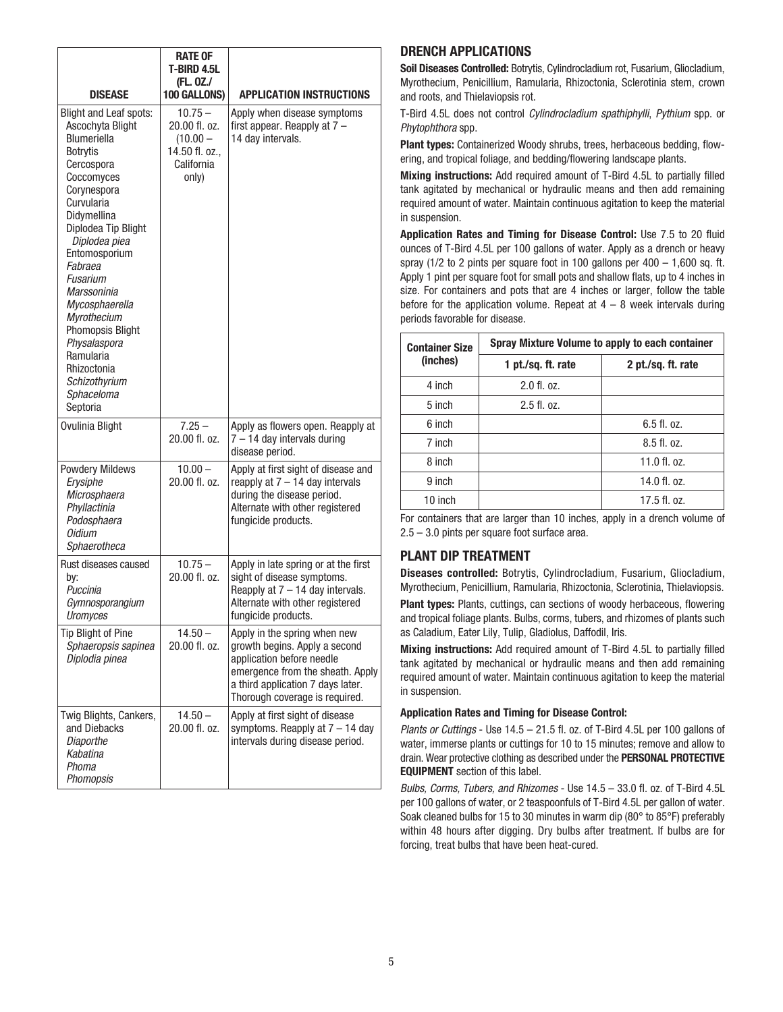| <b>DISEASE</b>                                                                                                                                                                                                                                                                                                                                                                                                       | <b>RATE OF</b><br>T-BIRD 4.5L<br>(FL. 0Z./<br>100 GALLONS)                        | <b>APPLICATION INSTRUCTIONS</b>                                                                                                                                                                       |
|----------------------------------------------------------------------------------------------------------------------------------------------------------------------------------------------------------------------------------------------------------------------------------------------------------------------------------------------------------------------------------------------------------------------|-----------------------------------------------------------------------------------|-------------------------------------------------------------------------------------------------------------------------------------------------------------------------------------------------------|
| <b>Blight and Leaf spots:</b><br>Ascochyta Blight<br><b>Blumeriella</b><br><b>Botrytis</b><br>Cercospora<br>Coccomyces<br>Corynespora<br>Curvularia<br>Didvmellina<br>Diplodea Tip Blight<br>Diplodea piea<br>Entomosporium<br>Fabraea<br>Fusarium<br>Marssoninia<br>Mycosphaerella<br><b>Myrothecium</b><br>Phomopsis Blight<br>Physalaspora<br>Ramularia<br>Rhizoctonia<br>Schizothyrium<br>Sphaceloma<br>Septoria | $10.75 -$<br>20.00 fl. oz.<br>$(10.00 -$<br>14.50 fl. oz.,<br>California<br>only) | Apply when disease symptoms<br>first appear. Reapply at $7 -$<br>14 day intervals.                                                                                                                    |
| Ovulinia Blight                                                                                                                                                                                                                                                                                                                                                                                                      | $7.25 -$<br>20.00 fl. oz.                                                         | Apply as flowers open. Reapply at<br>$7 - 14$ day intervals during<br>disease period.                                                                                                                 |
| <b>Powdery Mildews</b><br>Erysiphe<br>Microsphaera<br>Phyllactinia<br>Podosphaera<br>Oidium<br>Sphaerotheca                                                                                                                                                                                                                                                                                                          | $10.00 -$<br>20.00 fl. oz.                                                        | Apply at first sight of disease and<br>reapply at $7 - 14$ day intervals<br>during the disease period.<br>Alternate with other registered<br>fungicide products.                                      |
| Rust diseases caused<br>by:<br>Puccinia<br>Gymnosporangium<br>Uromyces                                                                                                                                                                                                                                                                                                                                               | $10.75 -$<br>20.00 fl. oz.                                                        | Apply in late spring or at the first<br>sight of disease symptoms.<br>Reapply at $7 - 14$ day intervals.<br>Alternate with other registered<br>fungicide products.                                    |
| <b>Tip Blight of Pine</b><br>Sphaeropsis sapinea<br>Diplodia pinea                                                                                                                                                                                                                                                                                                                                                   | $14.50 -$<br>20.00 fl. oz.                                                        | Apply in the spring when new<br>growth begins. Apply a second<br>application before needle<br>emergence from the sheath. Apply<br>a third application 7 days later.<br>Thorough coverage is required. |
| Twig Blights, Cankers,<br>and Diebacks<br><b>Diaporthe</b><br>Kabatina<br>Phoma<br>Phomopsis                                                                                                                                                                                                                                                                                                                         | $14.50 -$<br>20.00 fl. oz.                                                        | Apply at first sight of disease<br>symptoms. Reapply at $7 - 14$ day<br>intervals during disease period.                                                                                              |

## **DRENCH APPLICATIONS**

**Soil Diseases Controlled:** Botrytis, Cylindrocladium rot, Fusarium, Gliocladium, Myrothecium, Penicillium, Ramularia, Rhizoctonia, Sclerotinia stem, crown and roots, and Thielaviopsis rot.

T-Bird 4.5L does not control Cylindrocladium spathiphylli, Pythium spp. or Phytophthora spp.

**Plant types:** Containerized Woody shrubs, trees, herbaceous bedding, flowering, and tropical foliage, and bedding/flowering landscape plants.

**Mixing instructions:** Add required amount of T-Bird 4.5L to partially filled tank agitated by mechanical or hydraulic means and then add remaining required amount of water. Maintain continuous agitation to keep the material in suspension.

**Application Rates and Timing for Disease Control:** Use 7.5 to 20 fluid ounces of T-Bird 4.5L per 100 gallons of water. Apply as a drench or heavy spray ( $1/2$  to 2 pints per square foot in 100 gallons per  $400 - 1,600$  sq. ft. Apply 1 pint per square foot for small pots and shallow flats, up to 4 inches in size. For containers and pots that are 4 inches or larger, follow the table before for the application volume. Repeat at  $4 - 8$  week intervals during periods favorable for disease.

| <b>Container Size</b> | Spray Mixture Volume to apply to each container |                    |  |
|-----------------------|-------------------------------------------------|--------------------|--|
| (inches)              | 1 pt./sq. ft. rate                              | 2 pt./sq. ft. rate |  |
| 4 inch                | $2.0$ fl. oz.                                   |                    |  |
| 5 inch                | $2.5$ fl. oz.                                   |                    |  |
| 6 inch                |                                                 | $6.5$ fl. oz.      |  |
| 7 inch                |                                                 | 8.5f1.0z.          |  |
| 8 inch                |                                                 | $11.0$ fl. oz.     |  |
| 9 inch                |                                                 | $14.0$ fl. oz.     |  |
| 10 inch               |                                                 | $17.5$ fl. oz.     |  |

For containers that are larger than 10 inches, apply in a drench volume of 2.5 – 3.0 pints per square foot surface area.

## **PLANT DIP TREATMENT**

**Diseases controlled:** Botrytis, Cylindrocladium, Fusarium, Gliocladium, Myrothecium, Penicillium, Ramularia, Rhizoctonia, Sclerotinia, Thielaviopsis.

**Plant types:** Plants, cuttings, can sections of woody herbaceous, flowering and tropical foliage plants. Bulbs, corms, tubers, and rhizomes of plants such as Caladium, Eater Lily, Tulip, Gladiolus, Daffodil, Iris.

**Mixing instructions:** Add required amount of T-Bird 4.5L to partially filled tank agitated by mechanical or hydraulic means and then add remaining required amount of water. Maintain continuous agitation to keep the material in suspension.

#### **Application Rates and Timing for Disease Control:**

Plants or Cuttings - Use 14.5 - 21.5 fl. oz. of T-Bird 4.5L per 100 gallons of water, immerse plants or cuttings for 10 to 15 minutes; remove and allow to drain. Wear protective clothing as described under the **PERSONAL PROTECTIVE EQUIPMENT** section of this label.

Bulbs, Corms, Tubers, and Rhizomes - Use 14.5 – 33.0 fl. oz. of T-Bird 4.5L per 100 gallons of water, or 2 teaspoonfuls of T-Bird 4.5L per gallon of water. Soak cleaned bulbs for 15 to 30 minutes in warm dip (80° to 85°F) preferably within 48 hours after digging. Dry bulbs after treatment. If bulbs are for forcing, treat bulbs that have been heat-cured.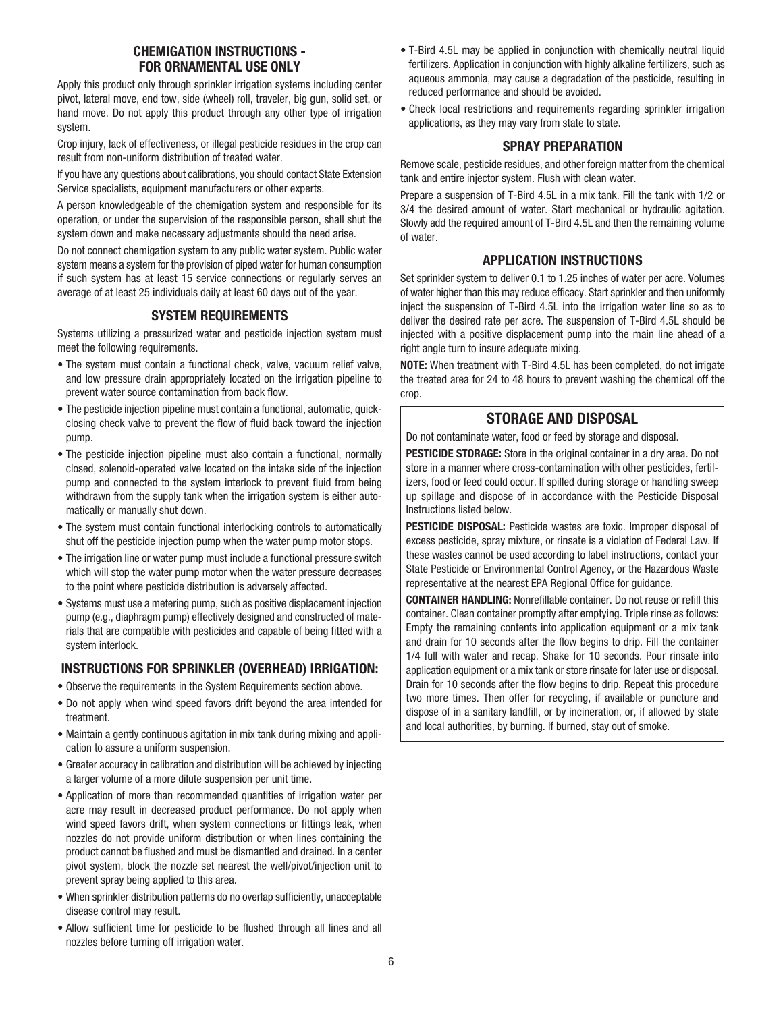## **CHEMIGATION INSTRUCTIONS - FOR ORNAMENTAL USE ONLY**

Apply this product only through sprinkler irrigation systems including center pivot, lateral move, end tow, side (wheel) roll, traveler, big gun, solid set, or hand move. Do not apply this product through any other type of irrigation system.

Crop injury, lack of effectiveness, or illegal pesticide residues in the crop can result from non-uniform distribution of treated water.

If you have any questions about calibrations, you should contact State Extension Service specialists, equipment manufacturers or other experts.

A person knowledgeable of the chemigation system and responsible for its operation, or under the supervision of the responsible person, shall shut the system down and make necessary adjustments should the need arise.

Do not connect chemigation system to any public water system. Public water system means a system for the provision of piped water for human consumption if such system has at least 15 service connections or regularly serves an average of at least 25 individuals daily at least 60 days out of the year.

## **SYSTEM REQUIREMENTS**

Systems utilizing a pressurized water and pesticide injection system must meet the following requirements.

- The system must contain a functional check, valve, vacuum relief valve, and low pressure drain appropriately located on the irrigation pipeline to prevent water source contamination from back flow.
- The pesticide injection pipeline must contain a functional, automatic, quickclosing check valve to prevent the flow of fluid back toward the injection pump.
- The pesticide injection pipeline must also contain a functional, normally closed, solenoid-operated valve located on the intake side of the injection pump and connected to the system interlock to prevent fluid from being withdrawn from the supply tank when the irrigation system is either automatically or manually shut down.
- The system must contain functional interlocking controls to automatically shut off the pesticide injection pump when the water pump motor stops.
- The irrigation line or water pump must include a functional pressure switch which will stop the water pump motor when the water pressure decreases to the point where pesticide distribution is adversely affected.
- Systems must use a metering pump, such as positive displacement injection pump (e.g., diaphragm pump) effectively designed and constructed of materials that are compatible with pesticides and capable of being fitted with a system interlock.

## **INSTRUCTIONS FOR SPRINKLER (OVERHEAD) IRRIGATION:**

- Observe the requirements in the System Requirements section above.
- Do not apply when wind speed favors drift beyond the area intended for treatment.
- Maintain a gently continuous agitation in mix tank during mixing and application to assure a uniform suspension.
- Greater accuracy in calibration and distribution will be achieved by injecting a larger volume of a more dilute suspension per unit time.
- Application of more than recommended quantities of irrigation water per acre may result in decreased product performance. Do not apply when wind speed favors drift, when system connections or fittings leak, when nozzles do not provide uniform distribution or when lines containing the product cannot be flushed and must be dismantled and drained. In a center pivot system, block the nozzle set nearest the well/pivot/injection unit to prevent spray being applied to this area.
- When sprinkler distribution patterns do no overlap sufficiently, unacceptable disease control may result.
- Allow sufficient time for pesticide to be flushed through all lines and all nozzles before turning off irrigation water.
- T-Bird 4.5L may be applied in conjunction with chemically neutral liquid fertilizers. Application in conjunction with highly alkaline fertilizers, such as aqueous ammonia, may cause a degradation of the pesticide, resulting in reduced performance and should be avoided.
- Check local restrictions and requirements regarding sprinkler irrigation applications, as they may vary from state to state.

## **SPRAY PREPARATION**

Remove scale, pesticide residues, and other foreign matter from the chemical tank and entire injector system. Flush with clean water.

Prepare a suspension of T-Bird 4.5L in a mix tank. Fill the tank with 1/2 or 3/4 the desired amount of water. Start mechanical or hydraulic agitation. Slowly add the required amount of T-Bird 4.5L and then the remaining volume of water.

## **APPLICATION INSTRUCTIONS**

Set sprinkler system to deliver 0.1 to 1.25 inches of water per acre. Volumes of water higher than this may reduce efficacy. Start sprinkler and then uniformly inject the suspension of T-Bird 4.5L into the irrigation water line so as to deliver the desired rate per acre. The suspension of T-Bird 4.5L should be injected with a positive displacement pump into the main line ahead of a right angle turn to insure adequate mixing.

**NOTE:** When treatment with T-Bird 4.5L has been completed, do not irrigate the treated area for 24 to 48 hours to prevent washing the chemical off the crop.

## **STORAGE AND DISPOSAL**

Do not contaminate water, food or feed by storage and disposal.

**PESTICIDE STORAGE:** Store in the original container in a dry area. Do not store in a manner where cross-contamination with other pesticides, fertilizers, food or feed could occur. If spilled during storage or handling sweep up spillage and dispose of in accordance with the Pesticide Disposal Instructions listed below.

**PESTICIDE DISPOSAL:** Pesticide wastes are toxic. Improper disposal of excess pesticide, spray mixture, or rinsate is a violation of Federal Law. If these wastes cannot be used according to label instructions, contact your State Pesticide or Environmental Control Agency, or the Hazardous Waste representative at the nearest EPA Regional Office for guidance.

**CONTAINER HANDLING:** Nonrefillable container. Do not reuse or refill this container. Clean container promptly after emptying. Triple rinse as follows: Empty the remaining contents into application equipment or a mix tank and drain for 10 seconds after the flow begins to drip. Fill the container 1/4 full with water and recap. Shake for 10 seconds. Pour rinsate into application equipment or a mix tank or store rinsate for later use or disposal. Drain for 10 seconds after the flow begins to drip. Repeat this procedure two more times. Then offer for recycling, if available or puncture and dispose of in a sanitary landfill, or by incineration, or, if allowed by state and local authorities, by burning. If burned, stay out of smoke.